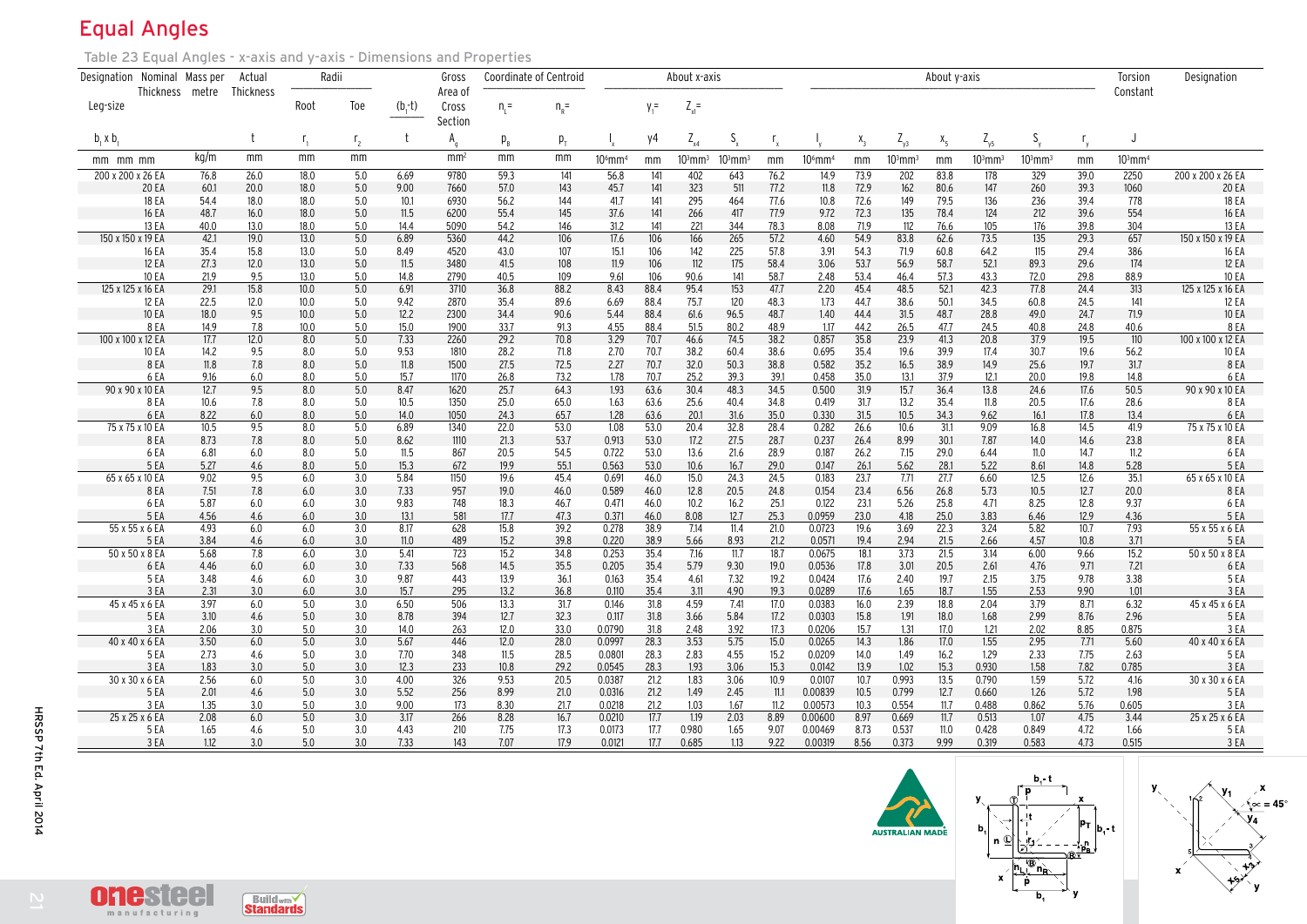## Equal Angles

Table 23 Equal Angles - x-axis and y-axis - Dimensions and Properties

| Designation Nominal Mass per |                       |              | Actual           | Radii        |                |              | Gross            | <b>Coordinate of Centroid</b> |               |                  |              | About x-axis   |                       |              | About y-axis       |              |                |              | Torsion               | Designation          |              |                       |                                  |
|------------------------------|-----------------------|--------------|------------------|--------------|----------------|--------------|------------------|-------------------------------|---------------|------------------|--------------|----------------|-----------------------|--------------|--------------------|--------------|----------------|--------------|-----------------------|----------------------|--------------|-----------------------|----------------------------------|
|                              | Thickness metre       |              | <b>Thickness</b> |              |                |              | Area of          |                               |               |                  |              |                |                       |              |                    |              |                |              |                       |                      |              | Constant              |                                  |
| Leg-size                     |                       |              |                  | Root         | Toe            | $(b,-t)$     | Cross<br>Section | $n =$                         | $n_{\rm R}$ = |                  | $y_1 =$      | $Z_{x1}$ =     |                       |              |                    |              |                |              |                       |                      |              |                       |                                  |
| $b_1 \times b_1$             |                       |              |                  | Г,           | r <sub>2</sub> | t            | $A_{q}$          | $p_{\rm R}$                   | $p_{T}$       |                  | y4           | $Z_{x4}$       | $S_{x}$               |              |                    | $X_3$        | $Z_{y3}$       | $X_{5}$      | $Z_{\gamma 5}$        | $S_{v}$              | $r_{y}$      |                       |                                  |
| mm mm mm                     |                       | kg/m         | mm               | mm           | mm             |              | mm <sup>2</sup>  | mm                            | mm            | 10°mm            | mm           | $10^3$ mm $^3$ | $103$ mm <sup>3</sup> | mm           | $10^6$ mm $^4$     | mm           | $103$ mm $3$   | mm           | $103$ mm <sup>3</sup> | $10^3 \mathrm{mm}^3$ | mm           | $103$ mm <sup>4</sup> |                                  |
| 200 x 200 x 26 EA            |                       | 76.8         | 26.0             | 18.0         | 5.0            | 6.69         | 9780             | 59.3                          | 141           | 56.8             | 141          | 402            | 643                   | 76.2         | 14.9               | 73.9         | 202            | 83.8         | 178                   | 329                  | 39.0         | 2250                  | 200 x 200 x 26 EA                |
|                              | 20 EA                 | 60.1         | 20.0             | 18.0         | 5.0            | 9.00         | 7660             | 57.0                          | 143           | 45.7             | 141          | 323            | 511                   | 77.2         | 11.8               | 72.9         | 162            | 80.6         | 147                   | 260                  | 39.3         | 1060                  | <b>20 EA</b>                     |
|                              | 18 EA                 | 54.4         | 18.0             | 18.0         | 5.0            | 10.1         | 6930             | 56.2                          | 144           | 41.7             | 141          | 295            | 464                   | 77.6         | 10.8               | 72.6         | 149            | 79.5         | 136                   | 236                  | 39.4         | 778                   | 18 EA                            |
|                              | <b>16 EA</b><br>13 EA | 48.7<br>40.0 | 16.0<br>13.0     | 18.0<br>18.0 | 5.0<br>5.0     | 11.5<br>14.4 | 6200<br>5090     | 55.4<br>54.2                  | 145<br>146    | 37.6<br>31.2     | 141<br>141   | 266<br>221     | 417<br>344            | 77.9<br>78.3 | 9.72<br>8.08       | 72.3<br>71.9 | 135<br>112     | 78.4<br>76.6 | 124<br>105            | 212<br>176           | 39.6<br>39.8 | 554<br>304            | 16 EA<br>13 EA                   |
| 150 x 150 x 19 EA            |                       | 42.1         | 19.0             | 13.0         | 5.0            | 6.89         | 5360             | 44.2                          | 106           | 17.6             | 106          | 166            | 265                   | 57.2         | 4.60               | 54.9         | 83.8           | 62.6         | 73.5                  | 135                  | 29.3         | 657                   | 150 x 150 x 19 EA                |
|                              | 16 EA                 | 35.4         | 15.8             | 13.0         | 5.0            | 8.49         | 4520             | 43.0                          | 107           | 15.1             | 106          | 142            | 225                   | 57.8         | 3.91               | 54.3         | 71.9           | 60.8         | 64.2                  | 115                  | 29.4         | 386                   | 16 EA                            |
|                              | 12 EA                 | 27.3         | 12.0             | 13.0         | 5.0            | 11.5         | 3480             | 41.5                          | 108           | 11.9             | 106          | 112            | 175                   | 58.4         | 3.06               | 53.7         | 56.9           | 58.7         | 52.1                  | 89.3                 | 29.6         | 174                   | 12 EA                            |
|                              | <b>10 EA</b>          | 21.9         | 9.5              | 13.0         | 5.0            | 14.8         | 2790             | 40.5                          | 109           | 9.61             | 106          | 90.6           | 141                   | 58.7         | 2.48               | 53.4         | 46.4           | 57.3         | 43.3                  | 72.0                 | 29.8         | 88.9                  | <b>10 EA</b>                     |
| 125 x 125 x 16 EA            |                       | 29.1         | 15.8             | 10.0         | 5.0            | 6.91         | 3710             | 36.8                          | 88.2          | 8.43             | 88.4         | 95.4           | 153                   | 47.7         | 2.20               | 45.4         | 48.5           | 52.1         | 42.3                  | 77.8                 | 24.4         | 313                   | 125 x 125 x 16 EA                |
|                              | 12 EA                 | 22.5         | 12.0             | 10.0         | 5.0            | 9.42         | 2870             | 35.4                          | 89.6          | 6.69             | 88.4         | 75.7           | 120                   | 48.3         | 1.73               | 44.7         | 38.6           | 50.1         | 34.5                  | 60.8                 | 24.5         | 141                   | 12 EA                            |
|                              | <b>10 EA</b>          | 18.0         | 9.5              | 10.0         | 5.0            | 12.2         | 2300             | 34.4                          | 90.6          | 5.44             | 88.4         | 61.6           | 96.5                  | 48.7         | 1.40               | 44.4         | 31.5           | 48.7         | 28.8                  | 49.0                 | 24.7         | 71.9                  | <b>10 EA</b>                     |
| 100 x 100 x 12 EA            | 8 E A                 | 14.9<br>17.7 | 7.8<br>12.0      | 10.0<br>8.0  | 5.0<br>5.0     | 15.0<br>7.33 | 1900<br>2260     | 33.7<br>29.2                  | 91.3<br>70.8  | 4.55<br>3.29     | 88.4<br>70.7 | 51.5<br>46.6   | 80.2<br>74.5          | 48.9<br>38.2 | 1.17<br>0.857      | 44.2<br>35.8 | 26.5<br>23.9   | 47.7<br>41.3 | 24.5<br>20.8          | 40.8<br>37.9         | 24.8<br>19.5 | 40.6<br>110           | <b>8 EA</b><br>100 x 100 x 12 EA |
|                              | <b>10 EA</b>          | 14.2         | 9.5              | 8.0          | 5.0            | 9.53         | 1810             | 28.2                          | 71.8          | 2.70             | 70.7         | 38.2           | 60.4                  | 38.6         | 0.695              | 35.4         | 19.6           | 39.9         | 17.4                  | 30.7                 | 19.6         | 56.2                  | 10 EA                            |
|                              | 8EA                   | 11.8         | 7.8              | 8.0          | 5.0            | 11.8         | 1500             | 27.5                          | 72.5          | 2.27             | 70.7         | 32.0           | 50.3                  | 38.8         | 0.582              | 35.2         | 16.5           | 38.9         | 14.9                  | 25.6                 | 19.7         | 31.7                  | 8 EA                             |
|                              | 6EA                   | 9.16         | 6.0              | 8.0          | 5.0            | 15.7         | 1170             | 26.8                          | 73.2          | 1.78             | 70.7         | 25.2           | 39.3                  | 39.1         | 0.458              | 35.0         | 13.1           | 37.9         | 12.1                  | 20.0                 | 19.8         | 14.8                  | 6 EA                             |
| 90 x 90 x 10 EA              |                       | 12.7         | 9.5              | 8.0          | 5.0            | 8.47         | 1620             | 25.7                          | 64.3          | 1.93             | 63.6         | 30.4           | 48.3                  | 34.5         | 0.500              | 31.9         | 15.7           | 36.4         | 13.8                  | 24.6                 | 17.6         | 50.5                  | 90 x 90 x 10 EA                  |
|                              | 8 EA                  | 10.6         | 7.8              | 8.0          | 5.0            | 10.5         | 1350             | 25.0                          | 65.0          | 1.63             | 63.6         | 25.6           | 40.4                  | 34.8         | 0.419              | 31.7         | 13.2           | 35.4         | 11.8                  | 20.5                 | 17.6         | 28.6                  | 8 E A                            |
|                              | 6EA                   | 8.22         | 6.0              | 8.0          | 5.0            | 14.0         | 1050             | 24.3                          | 65.7          | 1.28             | 63.6         | 20.1           | 31.6                  | 35.0         | 0.330              | 31.5         | 10.5           | 34.3         | 9.62                  | 16.1                 | 17.8         | 13.4                  | 6 EA                             |
| 75 x 75 x 10 EA              |                       | 10.5         | 9.5              | 8.0          | 5.0            | 6.89         | 1340             | 22.0                          | 53.0          | 1.08             | 53.0         | 20.4           | 32.8                  | 28.4         | 0.282              | 26.6         | 10.6           | 31.1         | 9.09                  | 16.8                 | 14.5         | 41.9                  | 75 x 75 x 10 EA                  |
|                              | 8 E A<br>6 EA         | 8.73         | 7.8              | 8.0          | 5.0<br>5.0     | 8.62         | 1110             | 21.3                          | 53.7          | 0.913            | 53.0<br>53.0 | 17.2           | 27.5                  | 28.7         | 0.237              | 26.4         | 8.99           | 30.1         | 7.87<br>6.44          | 14.0                 | 14.6         | 23.8<br>11.2          | 8 EA                             |
|                              | 5 EA                  | 6.81<br>5.27 | 6.0<br>4.6       | 8.0<br>8.0   | 5.0            | 11.5<br>15.3 | 867<br>672       | 20.5<br>19.9                  | 54.5<br>55.1  | 0.722<br>0.563   | 53.0         | 13.6<br>10.6   | 21.6<br>16.7          | 28.9<br>29.0 | 0.187<br>0.147     | 26.2<br>26.1 | 7.15<br>5.62   | 29.0<br>28.1 | 5.22                  | 11.0<br>8.61         | 14.7<br>14.8 | 5.28                  | 6 EA<br>5EA                      |
| 65 x 65 x 10 EA              |                       | 9.02         | 9.5              | 6.0          | 3.0            | 5.84         | 1150             | 19.6                          | 45.4          | 0.691            | 46.0         | 15.0           | 24.3                  | 24.5         | 0.183              | 23.7         | 7.71           | 27.7         | 6.60                  | 12.5                 | 12.6         | 35.1                  | 65 x 65 x 10 EA                  |
|                              | 8 EA                  | 7.51         | 7.8              | 6.0          | 3.0            | 7.33         | 957              | 19.0                          | 46.0          | 0.589            | 46.0         | 12.8           | 20.5                  | 24.8         | 0.154              | 23.4         | 6.56           | 26.8         | 5.73                  | 10.5                 | 12.7         | 20.0                  | 8 E A                            |
|                              | 6 E A                 | 5.87         | 6.0              | 6.0          | 3.0            | 9.83         | 748              | 18.3                          | 46.7          | 0.471            | 46.0         | 10.2           | 16.2                  | 25.1         | 0.122              | 23.1         | 5.26           | 25.8         | 4.71                  | 8.25                 | 12.8         | 9.37                  | 6 E A                            |
|                              | 5 EA                  | 4.56         | 4.6              | 6.0          | 3.0            | 13.1         | 581              | 17.7                          | 47.3          | 0.371            | 46.0         | 8.08           | 12.7                  | 25.3         | 0.0959             | 23.0         | 4.18           | 25.0         | 3.83                  | 6.46                 | 12.9         | 4.36                  | 5 EA                             |
| 55 x 55 x 6 EA               |                       | 4.93         | 6.0              | 6.0          | 3.0            | 8.17         | 628              | 15.8                          | 39.2          | 0.278            | 38.9         | 7.14           | 11.4                  | 21.0         | 0.0723             | 19.6         | 3.69           | 22.3         | 3.24                  | 5.82                 | 10.7         | 7.93                  | 55 x 55 x 6 EA                   |
|                              | 5EA                   | 3.84         | 4.6              | 6.0          | 3.0            | 11.0         | 489              | 15.2                          | 39.8          | 0.220            | 38.9         | 5.66           | 8.93                  | 21.2         | 0.0571             | 19.4         | 2.94           | 21.5         | 2.66                  | 4.57                 | 10.8         | 3.71                  | 5 EA                             |
| 50 x 50 x 8 EA               |                       | 5.68         | 7.8              | 6.0          | 3.0            | 5.41         | 723              | 15.2                          | 34.8          | 0.253            | 35.4         | 7.16           | 11.7                  | 18.7         | 0.0675             | 18.1         | 3.73           | 21.5         | 3.14                  | 6.00                 | 9.66         | 15.2                  | 50 x 50 x 8 EA                   |
|                              | 6EA<br>5 EA           | 4.46<br>3.48 | 6.0<br>4.6       | 6.0<br>6.0   | 3.0<br>3.0     | 7.33<br>9.87 | 568<br>443       | 14.5<br>13.9                  | 35.5<br>36.1  | 0.205<br>0.163   | 35.4<br>35.4 | 5.79<br>4.61   | 9.30<br>7.32          | 19.0<br>19.2 | 0.0536<br>0.0424   | 17.8<br>17.6 | 3.01<br>2.40   | 20.5<br>19.7 | 2.61<br>2.15          | 4.76<br>3.75         | 9.71<br>9.78 | 7.21<br>3.38          | 6 EA<br>5EA                      |
|                              | 3 EA                  | 2.31         | 3.0              | 6.0          | 3.0            | 15.7         | 295              | 13.2                          | 36.8          | 0.110            | 35.4         | 3.11           | 4.90                  | 19.3         | 0.0289             | 17.6         | 1.65           | 18.7         | 1.55                  | 2.53                 | 9.90         | 1.01                  | 3 EA                             |
| 45 x 45 x 6 EA               |                       | 3.97         | 6.0              | 5.0          | 3.0            | 6.50         | 506              | 13.3                          | 31.7          | 0.146            | 31.8         | 4.59           | 7.41                  | 17.0         | 0.0383             | 16.0         | 2.39           | 18.8         | 2.04                  | 3.79                 | 8.71         | 6.32                  | 45 x 45 x 6 EA                   |
|                              | 5 EA                  | 3.10         | 4.6              | 5.0          | 3.0            | 8.78         | 394              | 12.7                          | 32.3          | 0.117            | 31.8         | 3.66           | 5.84                  | 17.2         | 0.0303             | 15.8         | 1.91           | 18.0         | 1.68                  | 2.99                 | 8.76         | 2.96                  | 5 EA                             |
|                              | 3 EA                  | 2.06         | 3.0              | 5.0          | 3.0            | 14.0         | 263              | 12.0                          | 33.0          | 0.0790           | 31.8         | 2.48           | 3.92                  | 17.3         | 0.0206             | 15.7         | 1.31           | 17.0         | 1.21                  | 2.02                 | 8.85         | 0.875                 | 3 EA                             |
| 40 x 40 x 6 EA               |                       | 3.50         | 6.0              | 5.0          | 3.0            | 5.67         | 446              | 12.0                          | 28.0          | 0.0997           | 28.3         | 3.53           | 5.75                  | 15.0         | 0.0265             | 14.3         | 1.86           | 17.0         | 1.55                  | 2.95                 | 7.71         | 5.60                  | 40 x 40 x 6 EA                   |
|                              | 5 EA                  | 2.73         | 4.6              | 5.0          | 3.0            | 7.70         | 348              | 11.5                          | 28.5          | 0.0801           | 28.3         | 2.83           | 4.55                  | 15.2         | 0.0209             | 14.0         | 1.49           | 16.2         | 1.29                  | 2.33                 | 7.75         | 2.63                  | 5 EA                             |
|                              | 3EA                   | 1.83         | 3.0              | 5.0          | 3.0            | 12.3         | 233              | 10.8                          | 29.2          | 0.0545           | 28.3         | 1.93           | 3.06                  | 15.3         | 0.0142             | 13.9         | 1.02           | 15.3         | 0.930                 | 1.58                 | 7.82         | 0.785                 | 3 EA                             |
| 30 x 30 x 6 EA               |                       | 2.56         | 6.0              | 5.0          | 3.0            | 4.00         | 326              | 9.53                          | 20.5          | 0.0387           | 21.2         | 1.83           | 3.06                  | 10.9         | 0.0107             | 10.7         | 0.993          | 13.5         | 0.790                 | 1.59                 | 5.72         | 4.16                  | 30 x 30 x 6 EA                   |
|                              | 5 EA<br>3 EA          | 2.01<br>1.35 | 4.6<br>3.0       | 5.0<br>5.0   | 3.0<br>3.0     | 5.52<br>9.00 | 256<br>173       | 8.99<br>8.30                  | 21.0<br>21.7  | 0.0316<br>0.0218 | 21.2<br>21.2 | 1.49<br>1.03   | 2.45<br>1.67          | 11.1<br>11.2 | 0.00839<br>0.00573 | 10.5<br>10.3 | 0.799<br>0.554 | 12.7<br>11.7 | 0.660<br>0.488        | 1.26<br>0.862        | 5.72<br>5.76 | 1.98<br>0.605         | 5 EA<br>3 EA                     |
| 25 x 25 x 6 EA               |                       | 2.08         | 6.0              | 5.0          | 3.0            | 3.17         | 266              | 8.28                          | 16.7          | 0.0210           | 17.7         | 1.19           | 2.03                  | 8.89         | 0.00600            | 8.97         | 0.669          | 11.7         | 0.513                 | 1.07                 | 4.75         | 3.44                  | 25 x 25 x 6 EA                   |
|                              | 5 EA                  | 1.65         | 4.6              | 5.0          | 3.0            | 4.43         | 210              | 7.75                          | 17.3          | 0.0173           | 17.7         | 0.980          | 1.65                  | 9.07         | 0.00469            | 8.73         | 0.537          | 11.0         | 0.428                 | 0.849                | 4.72         | 1.66                  | 5 EA                             |
|                              | 3 EA                  | 1.12         | 3.0              | 5.0          | 3.0            | 7.33         | 143              | 7.07                          | 17.9          | 0.0121           | 17.7         | 0.685          | 1.13                  | 9.22         | 0.00319            | 8.56         | 0.373          | 9.99         | 0.319                 | 0.583                | 4.73         | 0.515                 | 3 EA                             |
|                              |                       |              |                  |              |                |              |                  |                               |               |                  |              |                |                       |              |                    |              |                |              |                       |                      |              |                       |                                  |





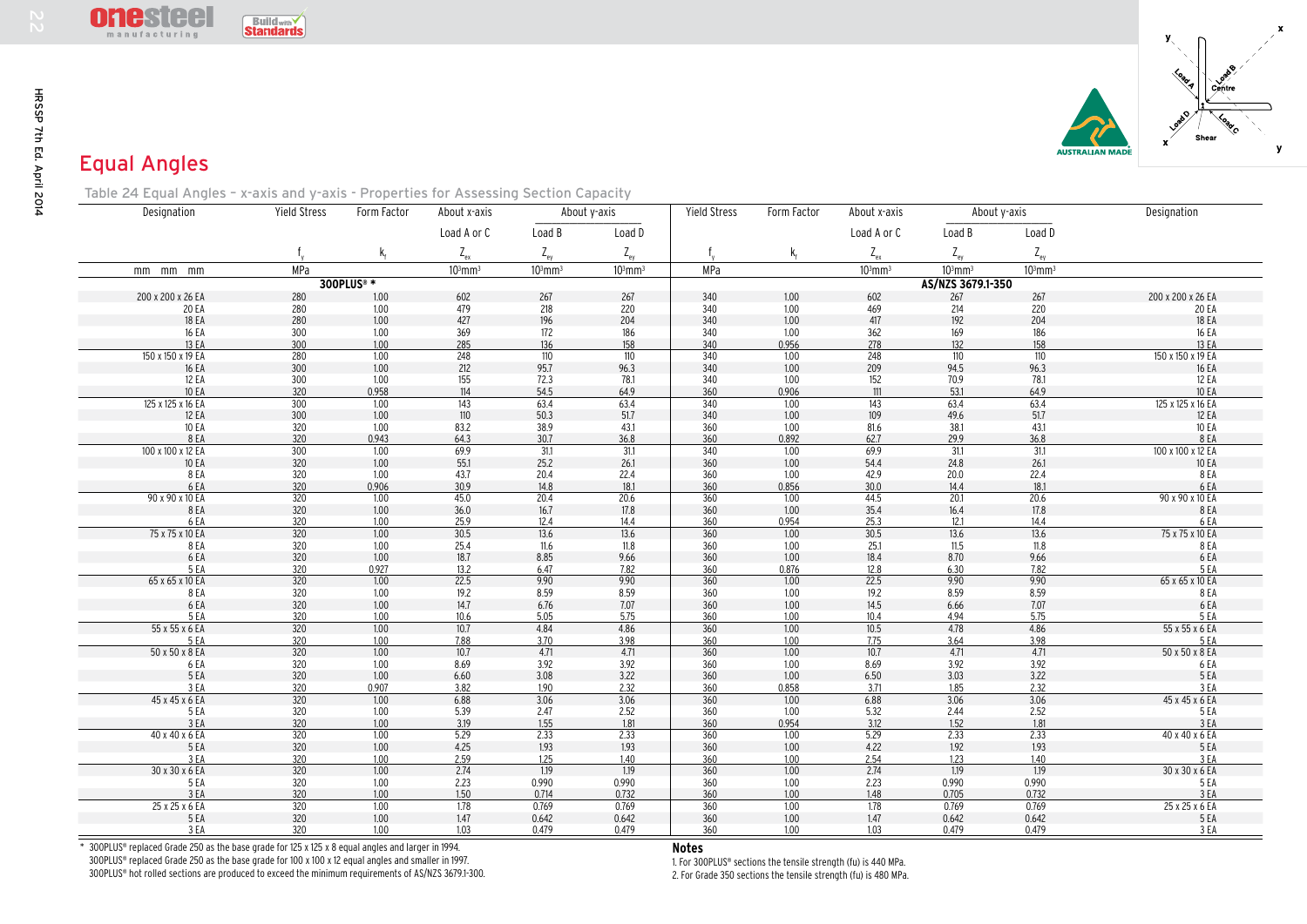

N

## Equal Angles

| <b>ONESIGE</b><br>manufacturing                                                       | <b>Buildwith</b>  |                        |                     |                   |                     |                   |                      |                     |                                 |                          |                                                             |
|---------------------------------------------------------------------------------------|-------------------|------------------------|---------------------|-------------------|---------------------|-------------------|----------------------|---------------------|---------------------------------|--------------------------|-------------------------------------------------------------|
| <b>Equal Angles</b>                                                                   |                   |                        |                     |                   |                     |                   |                      |                     |                                 | <b>USTRALIAN MADI</b>    | centre                                                      |
| Table 24 Equal Angles - x-axis and y-axis - Properties for Assessing Section Capacity |                   |                        |                     |                   |                     |                   |                      |                     |                                 |                          |                                                             |
| Designation                                                                           | Yield Stress      | Form Factor            | About x-axis        |                   | About y-axis        | Yield Stress      | Form Factor          | About x-axis        | About y-axis                    |                          | Designation                                                 |
|                                                                                       |                   |                        | Load A or C         | Load B            | Load D              |                   |                      | Load A or C         | Load B                          | Load D                   |                                                             |
|                                                                                       |                   |                        | $Z_{\rm ex}$        | $Z_{\rm{ey}}$     | $Z_{\rm{ey}}$       |                   | k,                   | $Z_{\rm ex}$        | $Z_{\rm{ey}}$                   | $Z_{\rm{ey}}$            |                                                             |
| mm mm mm                                                                              | MPa               |                        | $103$ mm $3$        | $103$ mm $3$      | $103$ mm $3$        | MPa               |                      | $103$ mm $3$        | 10 <sup>3</sup> mm <sup>3</sup> | $103$ mm $3$             |                                                             |
|                                                                                       |                   | 300PLUS <sup>®</sup> * |                     |                   |                     |                   |                      |                     | AS/NZS 3679.1-350               |                          |                                                             |
| 200 x 200 x 26 EA                                                                     | 280<br>280        | 1.00<br>$1.00$         | 602<br>479<br>427   | 267<br>$218\,$    | 267                 | 340<br>340        | 1.00                 | 602<br>469          | 267<br>214                      | 267<br>220               | 200 x 200 x 26 EA                                           |
| 20 EA<br>18 EA                                                                        | 280               | 1.00                   |                     | 196               | $\frac{220}{204}$   | 340               | $\frac{1.00}{1.00}$  | 417                 | 192                             | 204                      | 20 EA<br>18 EA                                              |
| 16 EA<br>13 EA                                                                        | 300<br>300        | 1.00<br>1.00           | 369<br>285          | 172<br>136        | 186<br>158          | 340<br>340        | 1.00<br>0.956        | 362<br>278          | 169<br>132                      | 186<br>158               | 16 EA<br>13 EA                                              |
| 150 x 150 x 19 EA                                                                     | 280               | 1.00                   | 248                 | 110               | 110                 | 340               | 1.00                 | 248                 | 110                             | 110                      | 150 x 150 x 19 EA                                           |
| 16 EA                                                                                 | 300               | 1.00                   | 212                 | 95.7              | 96.3                | 340               | 1.00                 | 209                 | 94.5                            | 96.3                     | 16 EA                                                       |
| 12 EA<br>10 EA                                                                        | 300<br>320        | 1.00<br>0.958          | 155<br>114          | 72.3<br>54.5      | 78.1<br>64.9        | 340<br>360        | 1.00<br>0.906        | 152<br>111          | 70.9<br>53.1                    | 78.1<br>64.9             | 12 EA<br>10 EA                                              |
| 125 x 125 x 16 EA                                                                     | $\overline{300}$  | 1.00                   | 143                 | 63.4              | 63.4                | $\overline{340}$  | 1.00                 | 143                 | 63.4                            | 63.4                     | 125 x 125 x 16 EA                                           |
| 12 EA                                                                                 | 300               | 1.00                   | 110                 | 50.3              | 51.7                | 340               | 1.00                 | 109                 | 49.6                            | 51.7                     | 12 EA                                                       |
| 10 EA<br>8 EA                                                                         | 320               | 1.00<br>0.943          | 83.2                | 38.9<br>30.7      | 43.1                | 360<br>360        | 1.00                 | 81.6                | 38.1                            | 43.1<br>36.8             | 10 EA<br>8 EA                                               |
| 100 x 100 x 12 EA                                                                     | $\frac{320}{300}$ | 1.00                   | $\frac{64.3}{69.9}$ | $\overline{31.1}$ | $\frac{36.8}{31.1}$ | $\frac{1}{340}$   | $\frac{0.892}{1.00}$ | $\frac{62.7}{69.9}$ | $\frac{29.9}{31.1}$             | 31.1                     | 100 x 100 x 12 EA                                           |
| 10 EA                                                                                 | 320               | 1.00                   | 55.1                | 25.2              | 26.1                | 360               | 1.00                 | 54.4                | 24.8                            | 26.1                     | 10 EA                                                       |
| 8 E A<br>6 EA                                                                         | 320<br>320        | 1.00<br>0.906          | $\frac{43.7}{30.9}$ | 20.4<br>14.8      | 22.4<br>18.1        | 360<br>360        | 1.00<br>0.856        | 42.9<br>30.0        | 20.0<br>14.4                    | 22.4<br>18.1             | 8 EA<br>6 EA                                                |
| 90 x 90 x 10 EA                                                                       | $\overline{320}$  | 1.00                   | 45.0                | 20.4              | 20.6                | 360               | 1.00                 | 44.5                | 20.1                            | 20.6                     | 90 x 90 x 10 EA                                             |
| 8 EA                                                                                  | 320               | 1.00                   | $36.0$              | 16.7              | 17.8                | 360               | 1.00                 | 35.4                | 16.4                            | 17.8                     | 8 EA                                                        |
| 6 EA<br>75 x 75 x 10 EA                                                               | 320<br>320        | 1.00<br>1.00           | 25.9<br>30.5        | 12.4<br>13.6      | 14.4<br>13.6        | 360<br>360        | 0.954<br>1.00        | 25.3<br>30.5        | 12.1<br>13.6                    | 14.4<br>13.6             | 6 EA<br>75 x 75 x 10 EA                                     |
| 8 EA                                                                                  | 320               | 1.00                   | 25.4                | 11.6              | 11.8                | 360               | 1.00                 | 25.1                | 11.5                            | 11.8                     | 8 EA                                                        |
| 6 EA<br>5 EA                                                                          | 320               | 1.00<br>0.927          | 18.7                | 8.85<br>6.47      | 9.66                | 360               | 1.00                 | 18.4                | 8.70                            | 9.66<br>7.82             | 6EA                                                         |
| 65 x 65 x 10 EA                                                                       | $\frac{320}{320}$ | 1.00                   | $\frac{13.2}{22.5}$ | 9.90              | $\frac{7.82}{9.90}$ | $\frac{360}{360}$ | $\frac{0.876}{1.00}$ | $\frac{12.8}{22.5}$ | $\frac{6.30}{9.90}$             | 9.90                     | $\frac{5}{65}$ $\frac{5}{65}$ $\frac{5}{10}$ $\frac{5}{10}$ |
| 8 EA                                                                                  | 320               | 1.00                   | 19.2<br>14.7        | 8.59              | 8.59                | 360               | 1.00                 | 19.2                | 8.59                            | 8.59                     | 8 EA                                                        |
| 6 EA<br>5 EA                                                                          | 320<br>320        | 1.00<br>1.00           | 10.6                | 6.76<br>5.05      | $7.07$<br>5.75      | 360<br>360        | $1.00$<br>1.00       | 14.5<br>10.4        | 6.66<br>4.94                    | 7.07<br>5.75             | 6 EA<br>5 EA                                                |
| 55 x 55 x 6 EA                                                                        | 320               | 1.00                   | 10.7                | 4.84              | 4.86                | 360               | 1.00                 | 10.5                | 4.78                            | 4.86                     | 55 x 55 x 6 EA                                              |
| $\frac{5 \text{ EA}}{50 \text{ x } 50 \text{ x } 8 \text{ EA}}$                       | 320               | 1.00                   | 7.88                | 3.70              | 3.98                | 360               | 1.00                 | 7.75                | 3.64                            | 3.98                     | $\frac{5 E A}{50 x 50 x 8 E A}$                             |
| 6 EA                                                                                  | 320<br>320        | 1.00<br>1.00           | 10.7<br>8.69        | 4.71<br>3.92      | 4.71<br>$3.92$      | 360<br>360        | 1.00<br>1.00         | 10.7<br>8.69        | 4.71<br>3.92                    | 4.71<br>3.92             | 6 EA                                                        |
| 5 EA                                                                                  | 320               | 1.00                   | 6.60                | 3.08              | 3.22                | 360               | 1.00                 | 6.50                | 3.03                            | 3.22                     | 5 EA                                                        |
| 3 EA                                                                                  | 320               | 0.907                  | $\frac{3.82}{6.88}$ | 1.90              | $\frac{2.32}{3.06}$ | $\frac{360}{360}$ | $\frac{0.858}{1.00}$ | 3.71                | $\frac{1.85}{3.06}$             | 2.32                     | 3EA                                                         |
| 45 x 45 x 6 EA<br>5 E.A                                                               | 320<br>320        | 1.00<br>1.00           | 5.39                | 3.06<br>2.47      | 2.52                | 360               | 1.00                 | 6.88<br>5.32        | 2.44                            | $\frac{1}{3.06}$<br>2.52 | 45x45x6EA<br>5 EA                                           |
| 3 EA                                                                                  | 320               | 1.00                   | 3.19                | 1.55              | 1.81                | 360               | 0.954                | 3.12                | 1.52                            | 1.81                     | 3 EA                                                        |
| 40 x 40 x 6 EA                                                                        | 320               | 1.00                   | 5.29                | 2.33              | 2.33                | 360               | 1.00                 | 5.29                | 2.33                            | 2.33                     | 40 x 40 x 6 EA                                              |
| 5 EA<br>3EA                                                                           | 320<br>320        | 1.00<br>1.00           | 4.25<br>2.59        | 1.93<br>1.25      | 1.93<br>1.40        | 360<br>360        | 1.00<br>1.00         | 4.22<br>2.54        | 1.92<br>1.23                    | 1.93<br>1.40             | 5 EA<br>3EA                                                 |
| 30 x 30 x 6 EA                                                                        | 320               | 1.00                   | 2.74                | 1.19              | 1.19                | 360               | 1.00                 | 2.74                | 1.19                            | 1.19                     | 30 x 30 x 6 EA                                              |
| 5 EA                                                                                  | 320               | 1.00                   | 2.23                | 0.990             | 0.990               | 360               | 1.00                 | 2.23                | 0.990                           | 0.990                    | 5 EA                                                        |
| 3EA<br>25 x 25 x 6 EA                                                                 | 320<br>320        | $1.00$<br>1.00         | 1.50<br>1.78        | 0.714<br>0.769    | 0.732<br>0.769      | 360<br>360        | 1.00<br>1.00         | 1.48<br>1.78        | 0.705<br>0.769                  | 0.732<br>0.769           | 3 EA<br>25 x 25 x 6 EA                                      |
| 5 EA                                                                                  | 320               | 1.00                   | 1.47                | 0.642             | 0.642               | 360               | 1.00                 | 1.47                | 0.642                           | 0.642                    | 5 EA                                                        |
| 3 EA                                                                                  | 320               | 1.00                   | 1.03                | 0.479             | 0.479               | 360               | 1.00                 | 1.03                | 0.479                           | 0.479                    | 3EA                                                         |

\* 300PLUS® replaced Grade 250 as the base grade for 125 x 125 x 8 equal angles and larger in 1994. 300PLUS® replaced Grade 250 as the base grade for 100 x 100 x 12 equal angles and smaller in 1997. 300PLUS® hot rolled sections are produced to exceed the minimum requirements of AS/NZS 3679.1-300. **Notes**

 1. For 300PLUS® sections the tensile strength (fu) is 440 MPa. 2. For Grade 350 sections the tensile strength (fu) is 480 MPa.